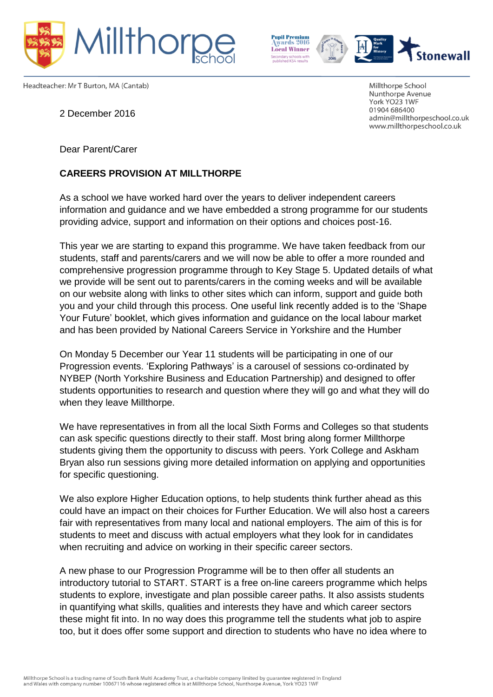

Headteacher: Mr T Burton, MA (Cantab)



Millthorpe School Nunthorpe Avenue York YO23 1WF 01904 686400 admin@millthorpeschool.co.uk www.millthorpeschool.co.uk

2 December 2016

Dear Parent/Carer

## **CAREERS PROVISION AT MILLTHORPE**

As a school we have worked hard over the years to deliver independent careers information and guidance and we have embedded a strong programme for our students providing advice, support and information on their options and choices post-16.

This year we are starting to expand this programme. We have taken feedback from our students, staff and parents/carers and we will now be able to offer a more rounded and comprehensive progression programme through to Key Stage 5. Updated details of what we provide will be sent out to parents/carers in the coming weeks and will be available on our website along with links to other sites which can inform, support and guide both you and your child through this process. One useful link recently added is to the 'Shape Your Future' booklet, which gives information and guidance on the local labour market and has been provided by National Careers Service in Yorkshire and the Humber

On Monday 5 December our Year 11 students will be participating in one of our Progression events. 'Exploring Pathways' is a carousel of sessions co-ordinated by NYBEP (North Yorkshire Business and Education Partnership) and designed to offer students opportunities to research and question where they will go and what they will do when they leave Millthorpe.

We have representatives in from all the local Sixth Forms and Colleges so that students can ask specific questions directly to their staff. Most bring along former Millthorpe students giving them the opportunity to discuss with peers. York College and Askham Bryan also run sessions giving more detailed information on applying and opportunities for specific questioning.

We also explore Higher Education options, to help students think further ahead as this could have an impact on their choices for Further Education. We will also host a careers fair with representatives from many local and national employers. The aim of this is for students to meet and discuss with actual employers what they look for in candidates when recruiting and advice on working in their specific career sectors.

A new phase to our Progression Programme will be to then offer all students an introductory tutorial to START. START is a free on-line careers programme which helps students to explore, investigate and plan possible career paths. It also assists students in quantifying what skills, qualities and interests they have and which career sectors these might fit into. In no way does this programme tell the students what job to aspire too, but it does offer some support and direction to students who have no idea where to